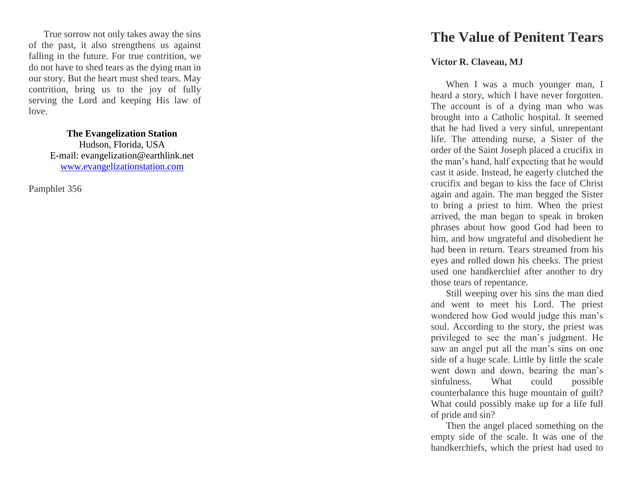True sorrow not only takes away the sins of the past, it also strengthens us against falling in the future. For true contrition, we do not have to shed tears as the dying man in our story. But the heart must shed tears. May contrition, bring us to the joy of fully serving the Lord and keeping His law of love.

> **The Evangelization Station**  Hudson, Florida, USA E -mail: evangelization@earthlink.net [www.evangelizationstation.com](http://www.pjpiisoe.org/)

Pamphlet 356

## **The Value of Penitent Tears**

## **Victor R. Claveau, MJ**

When I was a much younger man, I heard a story, which I have never forgotten. The account is of a dying man who was brought into a Catholic hospital. It seemed that he had lived a very sinful, unrepentant life. The attending nurse, a Sister of the order of the Saint Joseph placed a crucifix in the man's hand, half expecting that he would cast it aside. Instead, he eagerly clutched the crucifix and began to kiss the face of Christ again and again. The man begged the Sister to bring a priest to him. When the priest arrived, the man began to speak in broken phrases about how good God had been to him, and how ungrateful and disobedient he had been in return. Tears streamed from his eyes and rolled down his cheeks. The priest used one handkerchief after another to dry those tears of repentance.

Still weeping over his sins the man died and went to meet his Lord. The priest wondered how God would judge this man's soul. According to the story, the priest was privileged to see the man's judgment. He saw an angel put all the man's sins on one side of a huge scale. Little by little the scale went down and down, bearing the man's sinfulness. What could possible counterbalance this huge mountain of guilt? What could possibly make up for a life full of pride and sin?

Then the angel placed something on the empty side of the scale. It was one of the handkerchiefs, which the priest had used to